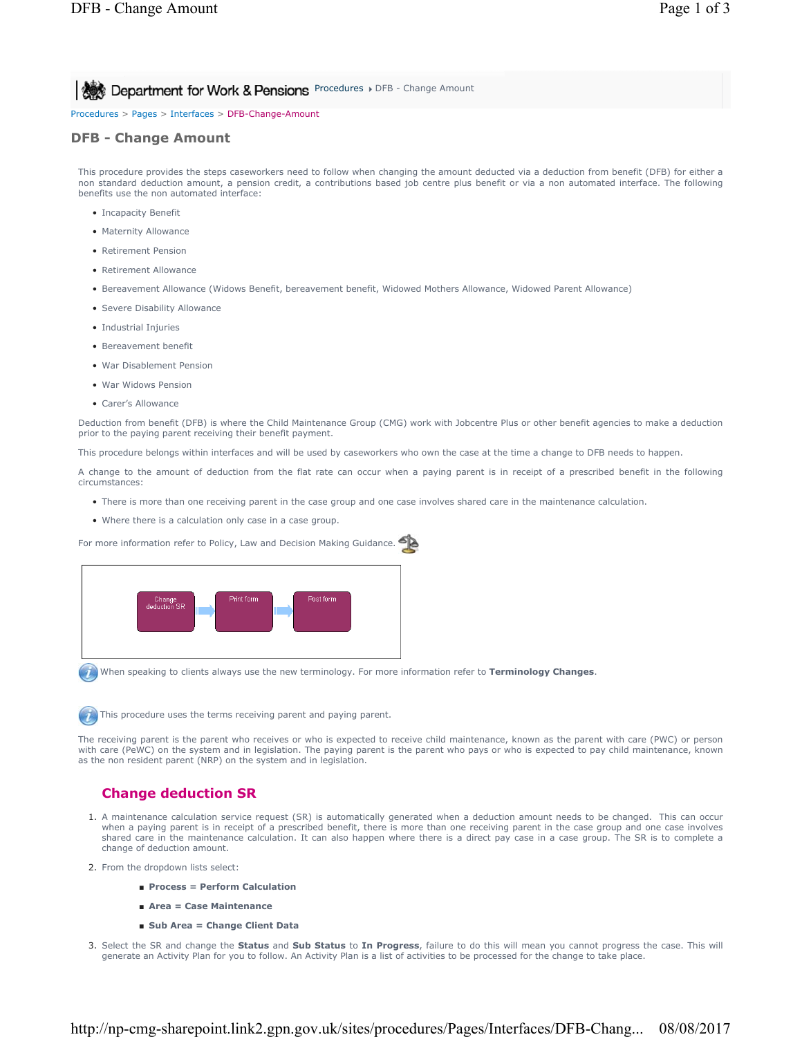**Procedures > DFB - Change Amount for Work & Pensions** Procedures > DFB - Change Amount

Procedures > Pages > Interfaces > DFB-Change-Amount

### **DFB - Change Amount**

This procedure provides the steps caseworkers need to follow when changing the amount deducted via a deduction from benefit (DFB) for either a non standard deduction amount, a pension credit, a contributions based job centre plus benefit or via a non automated interface. The following benefits use the non automated interface:

- Incapacity Benefit
- Maternity Allowance
- Retirement Pension
- Retirement Allowance
- Bereavement Allowance (Widows Benefit, bereavement benefit, Widowed Mothers Allowance, Widowed Parent Allowance)
- Severe Disability Allowance
- Industrial Injuries
- Bereavement benefit
- War Disablement Pension
- War Widows Pension
- Carer's Allowance

Deduction from benefit (DFB) is where the Child Maintenance Group (CMG) work with Jobcentre Plus or other benefit agencies to make a deduction prior to the paying parent receiving their benefit payment.

This procedure belongs within interfaces and will be used by caseworkers who own the case at the time a change to DFB needs to happen.

A change to the amount of deduction from the flat rate can occur when a paying parent is in receipt of a prescribed benefit in the following circumstances:

- There is more than one receiving parent in the case group and one case involves shared care in the maintenance calculation.
- Where there is a calculation only case in a case group.

For more information refer to Policy, Law and Decision Making Guidance.



When speaking to clients always use the new terminology. For more information refer to **Terminology Changes**.



The receiving parent is the parent who receives or who is expected to receive child maintenance, known as the parent with care (PWC) or person with care (PeWC) on the system and in legislation. The paying parent is the parent who pays or who is expected to pay child maintenance, known as the non resident parent (NRP) on the system and in legislation.

# **Change deduction SR**

- A maintenance calculation service request (SR) is automatically generated when a deduction amount needs to be changed. This can occur 1. when a paying parent is in receipt of a prescribed benefit, there is more than one receiving parent in the case group and one case involves shared care in the maintenance calculation. It can also happen where there is a direct pay case in a case group. The SR is to complete a change of deduction amount.
- 2. From the dropdown lists select:
	- **Process = Perform Calculation**
	- **Area = Case Maintenance**
	- **Sub Area = Change Client Data**
- Select the SR and change the **Status** and **Sub Status** to **In Progress**, failure to do this will mean you cannot progress the case. This will 3. generate an Activity Plan for you to follow. An Activity Plan is a list of activities to be processed for the change to take place.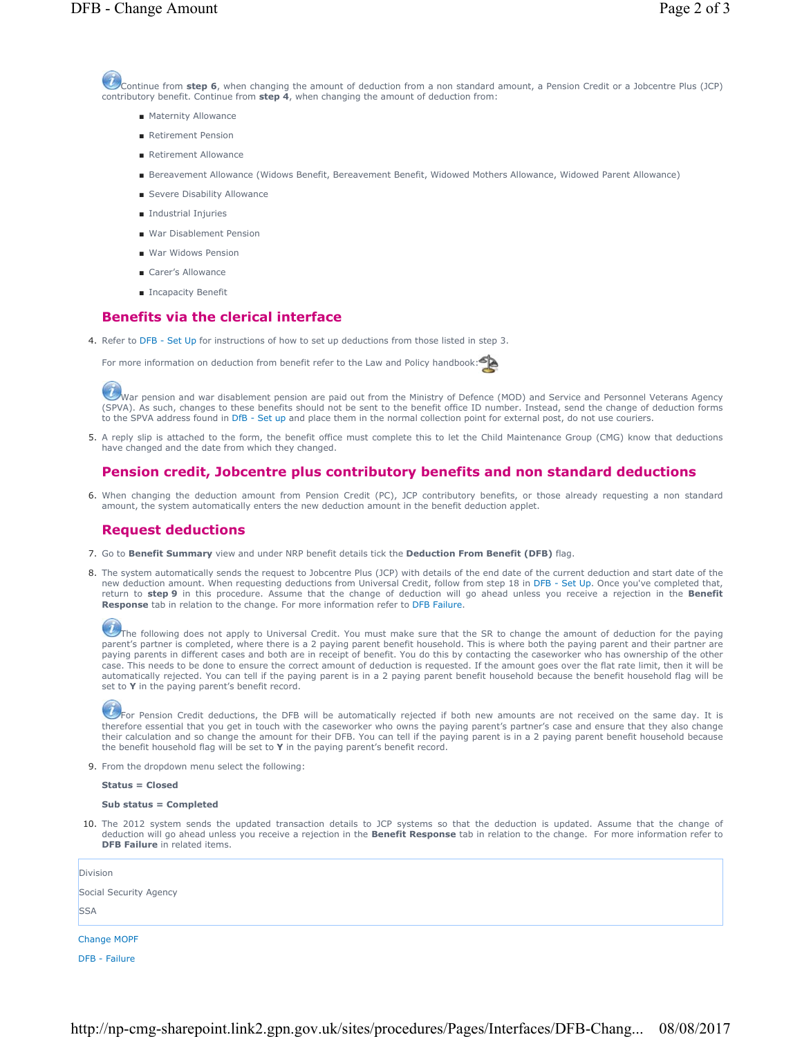- Maternity Allowance
- Retirement Pension
- Retirement Allowance
- Bereavement Allowance (Widows Benefit, Bereavement Benefit, Widowed Mothers Allowance, Widowed Parent Allowance)
- Severe Disability Allowance
- Industrial Injuries
- War Disablement Pension
- War Widows Pension
- Carer's Allowance
- Incapacity Benefit

## **Benefits via the clerical interface**

4. Refer to DFB - Set Up for instructions of how to set up deductions from those listed in step 3.

For more information on deduction from benefit refer to the Law and Policy handbook:

War pension and war disablement pension are paid out from the Ministry of Defence (MOD) and Service and Personnel Veterans Agency (SPVA). As such, changes to these benefits should not be sent to the benefit office ID number. Instead, send the change of deduction forms to the SPVA address found in DfB - Set up and place them in the normal collection point for external post, do not use couriers.

5. A reply slip is attached to the form, the benefit office must complete this to let the Child Maintenance Group (CMG) know that deductions have changed and the date from which they changed.

## **Pension credit, Jobcentre plus contributory benefits and non standard deductions**

6. When changing the deduction amount from Pension Credit (PC), JCP contributory benefits, or those already requesting a non standard amount, the system automatically enters the new deduction amount in the benefit deduction applet.

### **Request deductions**

- 7. Go to **Benefit Summary** view and under NRP benefit details tick the **Deduction From Benefit (DFB)** flag.
- 8. The system automatically sends the request to Jobcentre Plus (JCP) with details of the end date of the current deduction and start date of the new deduction amount. When requesting deductions from Universal Credit, follow from step 18 in DFB - Set Up. Once you've completed that, return to **step 9** in this procedure. Assume that the change of deduction will go ahead unless you receive a rejection in the **Benefit Response** tab in relation to the change. For more information refer to DFB Failure.

The following does not apply to Universal Credit. You must make sure that the SR to change the amount of deduction for the paying parent's partner is completed, where there is a 2 paying parent benefit household. This is where both the paying parent and their partner are paying parents in different cases and both are in receipt of benefit. You do this by contacting the caseworker who has ownership of the other case. This needs to be done to ensure the correct amount of deduction is requested. If the amount goes over the flat rate limit, then it will be automatically rejected. You can tell if the paying parent is in a 2 paying parent benefit household because the benefit household flag will be set to **Y** in the paying parent's benefit record.

 $U$  For Pension Credit deductions, the DFB will be automatically rejected if both new amounts are not received on the same day. It is therefore essential that you get in touch with the caseworker who owns the paying parent's partner's case and ensure that they also change their calculation and so change the amount for their DFB. You can tell if the paying parent is in a 2 paying parent benefit household because the benefit household flag will be set to **Y** in the paying parent's benefit record.

9. From the dropdown menu select the following:

#### **Status = Closed**

#### **Sub status = Completed**

10. The 2012 system sends the updated transaction details to JCP systems so that the deduction is updated. Assume that the change of deduction will go ahead unless you receive a rejection in the **Benefit Response** tab in relation to the change. For more information refer to **DFB Failure** in related items.

| Division               |  |  |
|------------------------|--|--|
| Social Security Agency |  |  |
| <b>SSA</b>             |  |  |
| <b>Change MOPF</b>     |  |  |

DFB - Failure